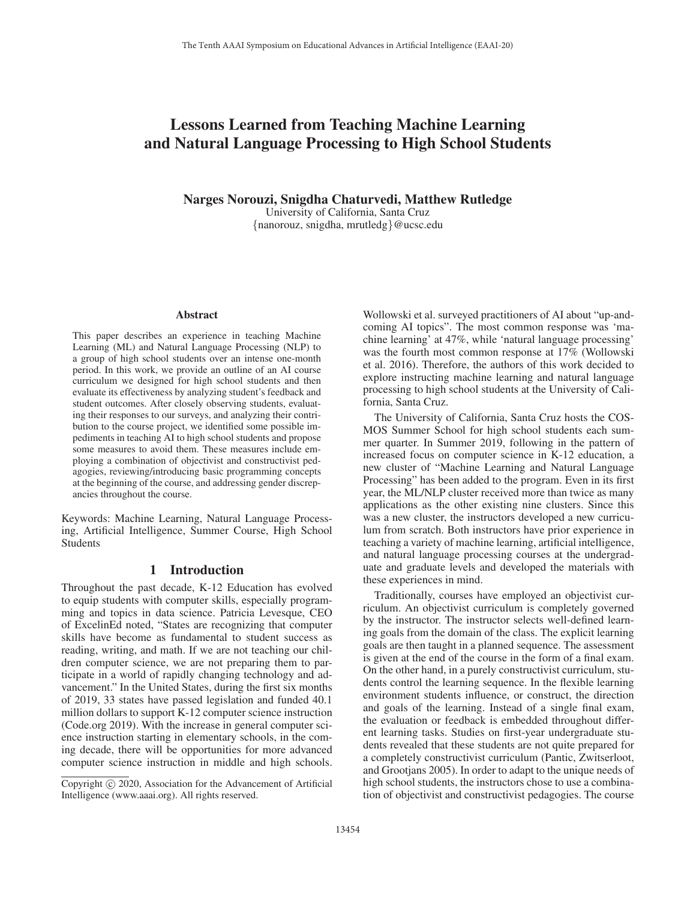# Lessons Learned from Teaching Machine Learning and Natural Language Processing to High School Students

Narges Norouzi, Snigdha Chaturvedi, Matthew Rutledge

University of California, Santa Cruz {nanorouz, snigdha, mrutledg}@ucsc.edu

#### Abstract

This paper describes an experience in teaching Machine Learning (ML) and Natural Language Processing (NLP) to a group of high school students over an intense one-month period. In this work, we provide an outline of an AI course curriculum we designed for high school students and then evaluate its effectiveness by analyzing student's feedback and student outcomes. After closely observing students, evaluating their responses to our surveys, and analyzing their contribution to the course project, we identified some possible impediments in teaching AI to high school students and propose some measures to avoid them. These measures include employing a combination of objectivist and constructivist pedagogies, reviewing/introducing basic programming concepts at the beginning of the course, and addressing gender discrepancies throughout the course.

Keywords: Machine Learning, Natural Language Processing, Artificial Intelligence, Summer Course, High School Students

### 1 Introduction

Throughout the past decade, K-12 Education has evolved to equip students with computer skills, especially programming and topics in data science. Patricia Levesque, CEO of ExcelinEd noted, "States are recognizing that computer skills have become as fundamental to student success as reading, writing, and math. If we are not teaching our children computer science, we are not preparing them to participate in a world of rapidly changing technology and advancement." In the United States, during the first six months of 2019, 33 states have passed legislation and funded 40.1 million dollars to support K-12 computer science instruction (Code.org 2019). With the increase in general computer science instruction starting in elementary schools, in the coming decade, there will be opportunities for more advanced computer science instruction in middle and high schools.

Wollowski et al. surveyed practitioners of AI about "up-andcoming AI topics". The most common response was 'machine learning' at 47%, while 'natural language processing' was the fourth most common response at 17% (Wollowski et al. 2016). Therefore, the authors of this work decided to explore instructing machine learning and natural language processing to high school students at the University of California, Santa Cruz.

The University of California, Santa Cruz hosts the COS-MOS Summer School for high school students each summer quarter. In Summer 2019, following in the pattern of increased focus on computer science in K-12 education, a new cluster of "Machine Learning and Natural Language Processing" has been added to the program. Even in its first year, the ML/NLP cluster received more than twice as many applications as the other existing nine clusters. Since this was a new cluster, the instructors developed a new curriculum from scratch. Both instructors have prior experience in teaching a variety of machine learning, artificial intelligence, and natural language processing courses at the undergraduate and graduate levels and developed the materials with these experiences in mind.

Traditionally, courses have employed an objectivist curriculum. An objectivist curriculum is completely governed by the instructor. The instructor selects well-defined learning goals from the domain of the class. The explicit learning goals are then taught in a planned sequence. The assessment is given at the end of the course in the form of a final exam. On the other hand, in a purely constructivist curriculum, students control the learning sequence. In the flexible learning environment students influence, or construct, the direction and goals of the learning. Instead of a single final exam, the evaluation or feedback is embedded throughout different learning tasks. Studies on first-year undergraduate students revealed that these students are not quite prepared for a completely constructivist curriculum (Pantic, Zwitserloot, and Grootjans 2005). In order to adapt to the unique needs of high school students, the instructors chose to use a combination of objectivist and constructivist pedagogies. The course

Copyright  $\odot$  2020, Association for the Advancement of Artificial Intelligence (www.aaai.org). All rights reserved.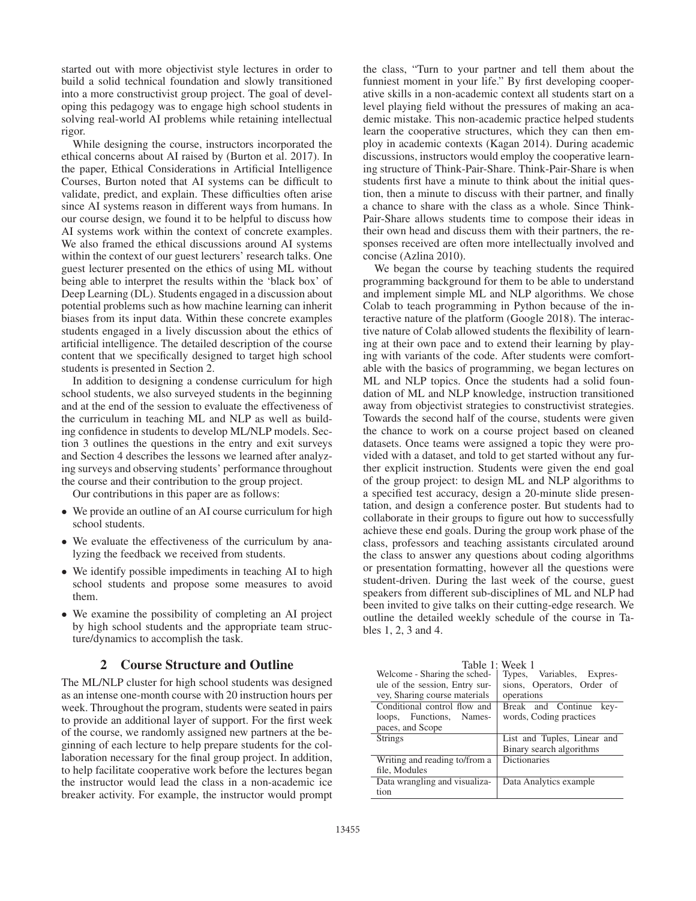started out with more objectivist style lectures in order to build a solid technical foundation and slowly transitioned into a more constructivist group project. The goal of developing this pedagogy was to engage high school students in solving real-world AI problems while retaining intellectual rigor.

While designing the course, instructors incorporated the ethical concerns about AI raised by (Burton et al. 2017). In the paper, Ethical Considerations in Artificial Intelligence Courses, Burton noted that AI systems can be difficult to validate, predict, and explain. These difficulties often arise since AI systems reason in different ways from humans. In our course design, we found it to be helpful to discuss how AI systems work within the context of concrete examples. We also framed the ethical discussions around AI systems within the context of our guest lecturers' research talks. One guest lecturer presented on the ethics of using ML without being able to interpret the results within the 'black box' of Deep Learning (DL). Students engaged in a discussion about potential problems such as how machine learning can inherit biases from its input data. Within these concrete examples students engaged in a lively discussion about the ethics of artificial intelligence. The detailed description of the course content that we specifically designed to target high school students is presented in Section 2.

In addition to designing a condense curriculum for high school students, we also surveyed students in the beginning and at the end of the session to evaluate the effectiveness of the curriculum in teaching ML and NLP as well as building confidence in students to develop ML/NLP models. Section 3 outlines the questions in the entry and exit surveys and Section 4 describes the lessons we learned after analyzing surveys and observing students' performance throughout the course and their contribution to the group project.

Our contributions in this paper are as follows:

- We provide an outline of an AI course curriculum for high school students.
- We evaluate the effectiveness of the curriculum by analyzing the feedback we received from students.
- We identify possible impediments in teaching AI to high school students and propose some measures to avoid them.
- We examine the possibility of completing an AI project by high school students and the appropriate team structure/dynamics to accomplish the task.

#### 2 Course Structure and Outline

The ML/NLP cluster for high school students was designed as an intense one-month course with 20 instruction hours per week. Throughout the program, students were seated in pairs to provide an additional layer of support. For the first week of the course, we randomly assigned new partners at the beginning of each lecture to help prepare students for the collaboration necessary for the final group project. In addition, to help facilitate cooperative work before the lectures began the instructor would lead the class in a non-academic ice breaker activity. For example, the instructor would prompt

the class, "Turn to your partner and tell them about the funniest moment in your life." By first developing cooperative skills in a non-academic context all students start on a level playing field without the pressures of making an academic mistake. This non-academic practice helped students learn the cooperative structures, which they can then employ in academic contexts (Kagan 2014). During academic discussions, instructors would employ the cooperative learning structure of Think-Pair-Share. Think-Pair-Share is when students first have a minute to think about the initial question, then a minute to discuss with their partner, and finally a chance to share with the class as a whole. Since Think-Pair-Share allows students time to compose their ideas in their own head and discuss them with their partners, the responses received are often more intellectually involved and concise (Azlina 2010).

We began the course by teaching students the required programming background for them to be able to understand and implement simple ML and NLP algorithms. We chose Colab to teach programming in Python because of the interactive nature of the platform (Google 2018). The interactive nature of Colab allowed students the flexibility of learning at their own pace and to extend their learning by playing with variants of the code. After students were comfortable with the basics of programming, we began lectures on ML and NLP topics. Once the students had a solid foundation of ML and NLP knowledge, instruction transitioned away from objectivist strategies to constructivist strategies. Towards the second half of the course, students were given the chance to work on a course project based on cleaned datasets. Once teams were assigned a topic they were provided with a dataset, and told to get started without any further explicit instruction. Students were given the end goal of the group project: to design ML and NLP algorithms to a specified test accuracy, design a 20-minute slide presentation, and design a conference poster. But students had to collaborate in their groups to figure out how to successfully achieve these end goals. During the group work phase of the class, professors and teaching assistants circulated around the class to answer any questions about coding algorithms or presentation formatting, however all the questions were student-driven. During the last week of the course, guest speakers from different sub-disciplines of ML and NLP had been invited to give talks on their cutting-edge research. We outline the detailed weekly schedule of the course in Tables 1, 2, 3 and 4.

|                                | Table 1: Week 1             |  |  |
|--------------------------------|-----------------------------|--|--|
| Welcome - Sharing the sched-   | Types, Variables, Expres-   |  |  |
| ule of the session, Entry sur- | sions, Operators, Order of  |  |  |
| vey, Sharing course materials  | operations                  |  |  |
| Conditional control flow and   | Break and Continue<br>key-  |  |  |
| loops, Functions, Names-       | words, Coding practices     |  |  |
| paces, and Scope               |                             |  |  |
| <b>Strings</b>                 | List and Tuples, Linear and |  |  |
|                                | Binary search algorithms    |  |  |
| Writing and reading to/from a  | <b>Dictionaries</b>         |  |  |
| file, Modules                  |                             |  |  |
| Data wrangling and visualiza-  | Data Analytics example      |  |  |
| tion                           |                             |  |  |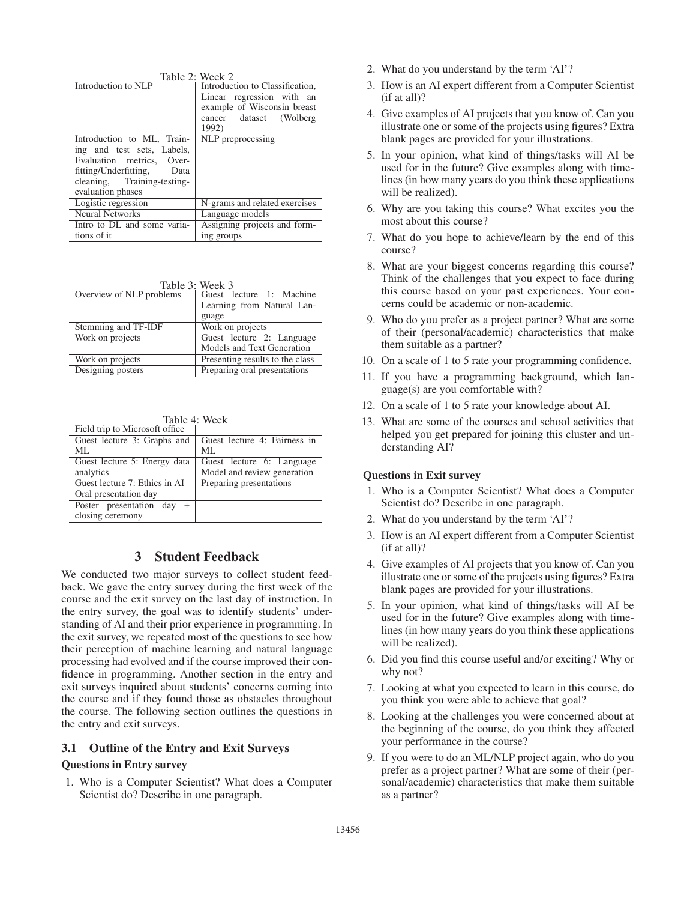| Introduction to NLP                                                                                                                                                     | Table 2: Week 2.<br>Introduction to Classification,<br>Linear regression with an<br>example of Wisconsin breast<br>cancer dataset (Wolberg<br>1992) |
|-------------------------------------------------------------------------------------------------------------------------------------------------------------------------|-----------------------------------------------------------------------------------------------------------------------------------------------------|
| Introduction to ML, Train-<br>ing and test sets, Labels,<br>Evaluation metrics, Over-<br>fitting/Underfitting, Data<br>cleaning, Training-testing-<br>evaluation phases | NLP preprocessing                                                                                                                                   |
| Logistic regression                                                                                                                                                     | N-grams and related exercises                                                                                                                       |
| <b>Neural Networks</b>                                                                                                                                                  | Language models                                                                                                                                     |
| Intro to DL and some varia-                                                                                                                                             | Assigning projects and form-                                                                                                                        |
| tions of it                                                                                                                                                             | ing groups                                                                                                                                          |

| Overview of NLP problems | Table 3: Week 3<br>Guest lecture 1: Machine |
|--------------------------|---------------------------------------------|
|                          | Learning from Natural Lan-                  |
|                          | guage                                       |
| Stemming and TF-IDF      | Work on projects                            |
| Work on projects         | Guest lecture 2: Language                   |
|                          | Models and Text Generation                  |
| Work on projects         | Presenting results to the class             |
| Designing posters        | Preparing oral presentations                |

| Table 4: Week                               |                              |  |  |  |
|---------------------------------------------|------------------------------|--|--|--|
| Field trip to Microsoft office              |                              |  |  |  |
| Guest lecture 3: Graphs and                 | Guest lecture 4: Fairness in |  |  |  |
| ML.                                         | ML                           |  |  |  |
| Guest lecture 5: Energy data                | Guest lecture 6: Language    |  |  |  |
| analytics                                   | Model and review generation  |  |  |  |
| Guest lecture $\overline{7}$ : Ethics in AI | Preparing presentations      |  |  |  |
| Oral presentation day                       |                              |  |  |  |
| Poster presentation day                     |                              |  |  |  |
| closing ceremony                            |                              |  |  |  |

## 3 Student Feedback

We conducted two major surveys to collect student feedback. We gave the entry survey during the first week of the course and the exit survey on the last day of instruction. In the entry survey, the goal was to identify students' understanding of AI and their prior experience in programming. In the exit survey, we repeated most of the questions to see how their perception of machine learning and natural language processing had evolved and if the course improved their confidence in programming. Another section in the entry and exit surveys inquired about students' concerns coming into the course and if they found those as obstacles throughout the course. The following section outlines the questions in the entry and exit surveys.

#### 3.1 Outline of the Entry and Exit Surveys

#### Questions in Entry survey

1. Who is a Computer Scientist? What does a Computer Scientist do? Describe in one paragraph.

- 2. What do you understand by the term 'AI'?
- 3. How is an AI expert different from a Computer Scientist (if at all)?
- 4. Give examples of AI projects that you know of. Can you illustrate one or some of the projects using figures? Extra blank pages are provided for your illustrations.
- 5. In your opinion, what kind of things/tasks will AI be used for in the future? Give examples along with timelines (in how many years do you think these applications will be realized).
- 6. Why are you taking this course? What excites you the most about this course?
- 7. What do you hope to achieve/learn by the end of this course?
- 8. What are your biggest concerns regarding this course? Think of the challenges that you expect to face during this course based on your past experiences. Your concerns could be academic or non-academic.
- 9. Who do you prefer as a project partner? What are some of their (personal/academic) characteristics that make them suitable as a partner?
- 10. On a scale of 1 to 5 rate your programming confidence.
- 11. If you have a programming background, which language(s) are you comfortable with?
- 12. On a scale of 1 to 5 rate your knowledge about AI.
- 13. What are some of the courses and school activities that helped you get prepared for joining this cluster and understanding AI?

### Questions in Exit survey

- 1. Who is a Computer Scientist? What does a Computer Scientist do? Describe in one paragraph.
- 2. What do you understand by the term 'AI'?
- 3. How is an AI expert different from a Computer Scientist (if at all)?
- 4. Give examples of AI projects that you know of. Can you illustrate one or some of the projects using figures? Extra blank pages are provided for your illustrations.
- 5. In your opinion, what kind of things/tasks will AI be used for in the future? Give examples along with timelines (in how many years do you think these applications will be realized).
- 6. Did you find this course useful and/or exciting? Why or why not?
- 7. Looking at what you expected to learn in this course, do you think you were able to achieve that goal?
- 8. Looking at the challenges you were concerned about at the beginning of the course, do you think they affected your performance in the course?
- 9. If you were to do an ML/NLP project again, who do you prefer as a project partner? What are some of their (personal/academic) characteristics that make them suitable as a partner?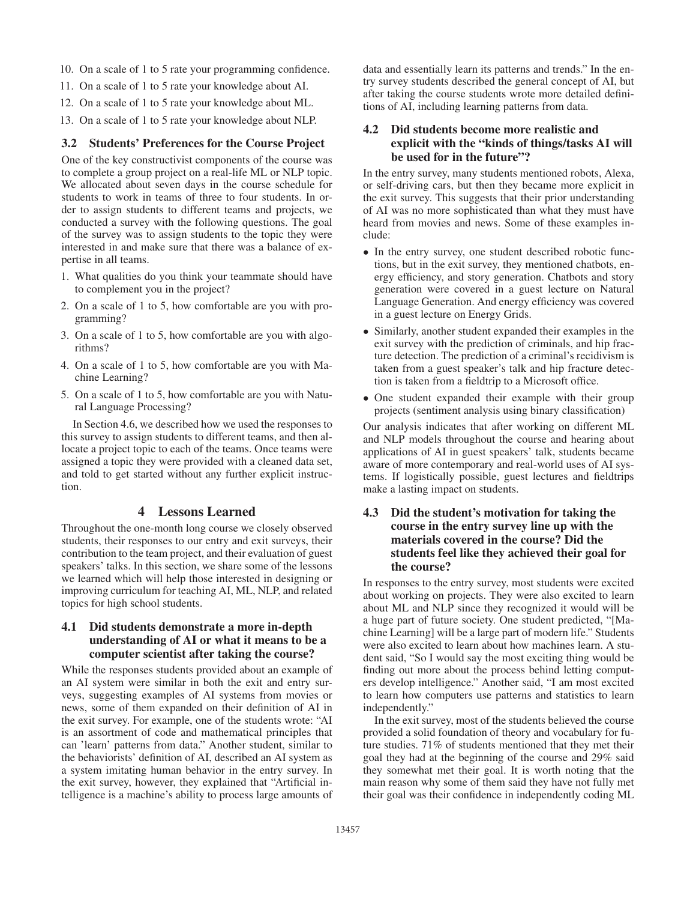- 10. On a scale of 1 to 5 rate your programming confidence.
- 11. On a scale of 1 to 5 rate your knowledge about AI.
- 12. On a scale of 1 to 5 rate your knowledge about ML.
- 13. On a scale of 1 to 5 rate your knowledge about NLP.

### 3.2 Students' Preferences for the Course Project

One of the key constructivist components of the course was to complete a group project on a real-life ML or NLP topic. We allocated about seven days in the course schedule for students to work in teams of three to four students. In order to assign students to different teams and projects, we conducted a survey with the following questions. The goal of the survey was to assign students to the topic they were interested in and make sure that there was a balance of expertise in all teams.

- 1. What qualities do you think your teammate should have to complement you in the project?
- 2. On a scale of 1 to 5, how comfortable are you with programming?
- 3. On a scale of 1 to 5, how comfortable are you with algorithms?
- 4. On a scale of 1 to 5, how comfortable are you with Machine Learning?
- 5. On a scale of 1 to 5, how comfortable are you with Natural Language Processing?

In Section 4.6, we described how we used the responses to this survey to assign students to different teams, and then allocate a project topic to each of the teams. Once teams were assigned a topic they were provided with a cleaned data set, and told to get started without any further explicit instruction.

#### 4 Lessons Learned

Throughout the one-month long course we closely observed students, their responses to our entry and exit surveys, their contribution to the team project, and their evaluation of guest speakers' talks. In this section, we share some of the lessons we learned which will help those interested in designing or improving curriculum for teaching AI, ML, NLP, and related topics for high school students.

### 4.1 Did students demonstrate a more in-depth understanding of AI or what it means to be a computer scientist after taking the course?

While the responses students provided about an example of an AI system were similar in both the exit and entry surveys, suggesting examples of AI systems from movies or news, some of them expanded on their definition of AI in the exit survey. For example, one of the students wrote: "AI is an assortment of code and mathematical principles that can 'learn' patterns from data." Another student, similar to the behaviorists' definition of AI, described an AI system as a system imitating human behavior in the entry survey. In the exit survey, however, they explained that "Artificial intelligence is a machine's ability to process large amounts of

data and essentially learn its patterns and trends." In the entry survey students described the general concept of AI, but after taking the course students wrote more detailed definitions of AI, including learning patterns from data.

### 4.2 Did students become more realistic and explicit with the "kinds of things/tasks AI will be used for in the future"?

In the entry survey, many students mentioned robots, Alexa, or self-driving cars, but then they became more explicit in the exit survey. This suggests that their prior understanding of AI was no more sophisticated than what they must have heard from movies and news. Some of these examples include:

- In the entry survey, one student described robotic functions, but in the exit survey, they mentioned chatbots, energy efficiency, and story generation. Chatbots and story generation were covered in a guest lecture on Natural Language Generation. And energy efficiency was covered in a guest lecture on Energy Grids.
- Similarly, another student expanded their examples in the exit survey with the prediction of criminals, and hip fracture detection. The prediction of a criminal's recidivism is taken from a guest speaker's talk and hip fracture detection is taken from a fieldtrip to a Microsoft office.
- One student expanded their example with their group projects (sentiment analysis using binary classification)

Our analysis indicates that after working on different ML and NLP models throughout the course and hearing about applications of AI in guest speakers' talk, students became aware of more contemporary and real-world uses of AI systems. If logistically possible, guest lectures and fieldtrips make a lasting impact on students.

## 4.3 Did the student's motivation for taking the course in the entry survey line up with the materials covered in the course? Did the students feel like they achieved their goal for the course?

In responses to the entry survey, most students were excited about working on projects. They were also excited to learn about ML and NLP since they recognized it would will be a huge part of future society. One student predicted, "[Machine Learning] will be a large part of modern life." Students were also excited to learn about how machines learn. A student said, "So I would say the most exciting thing would be finding out more about the process behind letting computers develop intelligence." Another said, "I am most excited to learn how computers use patterns and statistics to learn independently."

In the exit survey, most of the students believed the course provided a solid foundation of theory and vocabulary for future studies. 71% of students mentioned that they met their goal they had at the beginning of the course and 29% said they somewhat met their goal. It is worth noting that the main reason why some of them said they have not fully met their goal was their confidence in independently coding ML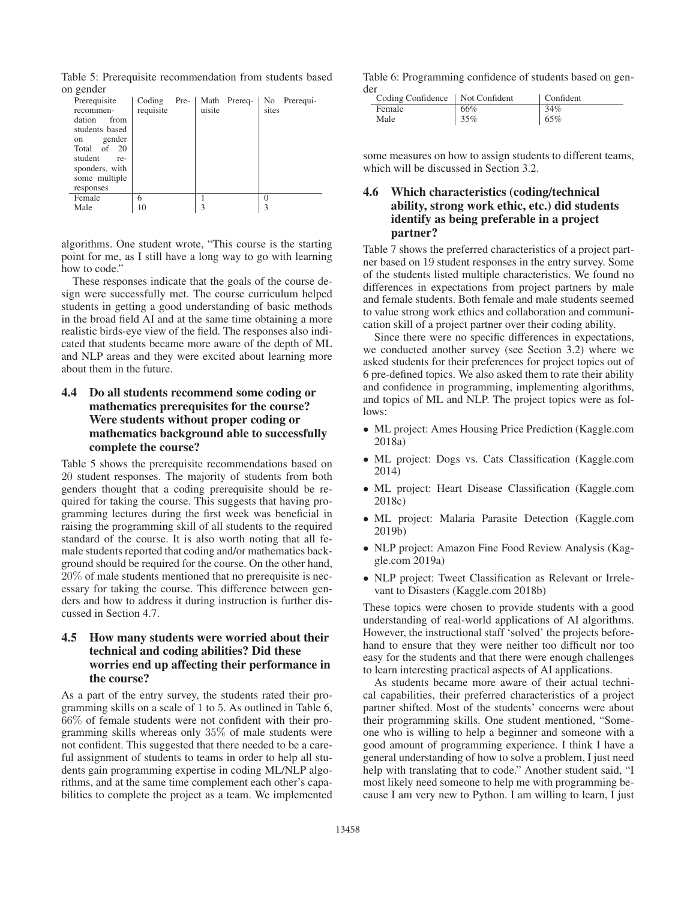Table 5: Prerequisite recommendation from students based on gender

| 11 gehüel      |           |      |        |              |       |              |
|----------------|-----------|------|--------|--------------|-------|--------------|
| Prerequisite   | Coding    | Pre- |        | Math Prereq- |       | No Prerequi- |
| recommen-      | requisite |      | uisite |              | sites |              |
| dation<br>from |           |      |        |              |       |              |
| students based |           |      |        |              |       |              |
| gender<br>on   |           |      |        |              |       |              |
| Total of<br>20 |           |      |        |              |       |              |
| student<br>re- |           |      |        |              |       |              |
| sponders, with |           |      |        |              |       |              |
| some multiple  |           |      |        |              |       |              |
| responses      |           |      |        |              |       |              |
| Female         | 6         |      |        |              | 0     |              |
| Male           | 10        |      | 3      |              | 3     |              |
|                |           |      |        |              |       |              |

algorithms. One student wrote, "This course is the starting point for me, as I still have a long way to go with learning how to code."

These responses indicate that the goals of the course design were successfully met. The course curriculum helped students in getting a good understanding of basic methods in the broad field AI and at the same time obtaining a more realistic birds-eye view of the field. The responses also indicated that students became more aware of the depth of ML and NLP areas and they were excited about learning more about them in the future.

## 4.4 Do all students recommend some coding or mathematics prerequisites for the course? Were students without proper coding or mathematics background able to successfully complete the course?

Table 5 shows the prerequisite recommendations based on 20 student responses. The majority of students from both genders thought that a coding prerequisite should be required for taking the course. This suggests that having programming lectures during the first week was beneficial in raising the programming skill of all students to the required standard of the course. It is also worth noting that all female students reported that coding and/or mathematics background should be required for the course. On the other hand, 20% of male students mentioned that no prerequisite is necessary for taking the course. This difference between genders and how to address it during instruction is further discussed in Section 4.7.

### 4.5 How many students were worried about their technical and coding abilities? Did these worries end up affecting their performance in the course?

As a part of the entry survey, the students rated their programming skills on a scale of 1 to 5. As outlined in Table 6, 66% of female students were not confident with their programming skills whereas only 35% of male students were not confident. This suggested that there needed to be a careful assignment of students to teams in order to help all students gain programming expertise in coding ML/NLP algorithms, and at the same time complement each other's capabilities to complete the project as a team. We implemented Table 6: Programming confidence of students based on gender

| Coding Confidence   Not Confident |     | Confident |
|-----------------------------------|-----|-----------|
| Female                            | 66% | 34%       |
| Male                              | 35% | 65%       |

some measures on how to assign students to different teams, which will be discussed in Section 3.2.

### 4.6 Which characteristics (coding/technical ability, strong work ethic, etc.) did students identify as being preferable in a project partner?

Table 7 shows the preferred characteristics of a project partner based on 19 student responses in the entry survey. Some of the students listed multiple characteristics. We found no differences in expectations from project partners by male and female students. Both female and male students seemed to value strong work ethics and collaboration and communication skill of a project partner over their coding ability.

Since there were no specific differences in expectations, we conducted another survey (see Section 3.2) where we asked students for their preferences for project topics out of 6 pre-defined topics. We also asked them to rate their ability and confidence in programming, implementing algorithms, and topics of ML and NLP. The project topics were as follows:

- ML project: Ames Housing Price Prediction (Kaggle.com 2018a)
- ML project: Dogs vs. Cats Classification (Kaggle.com) 2014)
- ML project: Heart Disease Classification (Kaggle.com 2018c)
- ML project: Malaria Parasite Detection (Kaggle.com 2019b)
- NLP project: Amazon Fine Food Review Analysis (Kaggle.com 2019a)
- NLP project: Tweet Classification as Relevant or Irrelevant to Disasters (Kaggle.com 2018b)

These topics were chosen to provide students with a good understanding of real-world applications of AI algorithms. However, the instructional staff 'solved' the projects beforehand to ensure that they were neither too difficult nor too easy for the students and that there were enough challenges to learn interesting practical aspects of AI applications.

As students became more aware of their actual technical capabilities, their preferred characteristics of a project partner shifted. Most of the students' concerns were about their programming skills. One student mentioned, "Someone who is willing to help a beginner and someone with a good amount of programming experience. I think I have a general understanding of how to solve a problem, I just need help with translating that to code." Another student said, "I most likely need someone to help me with programming because I am very new to Python. I am willing to learn, I just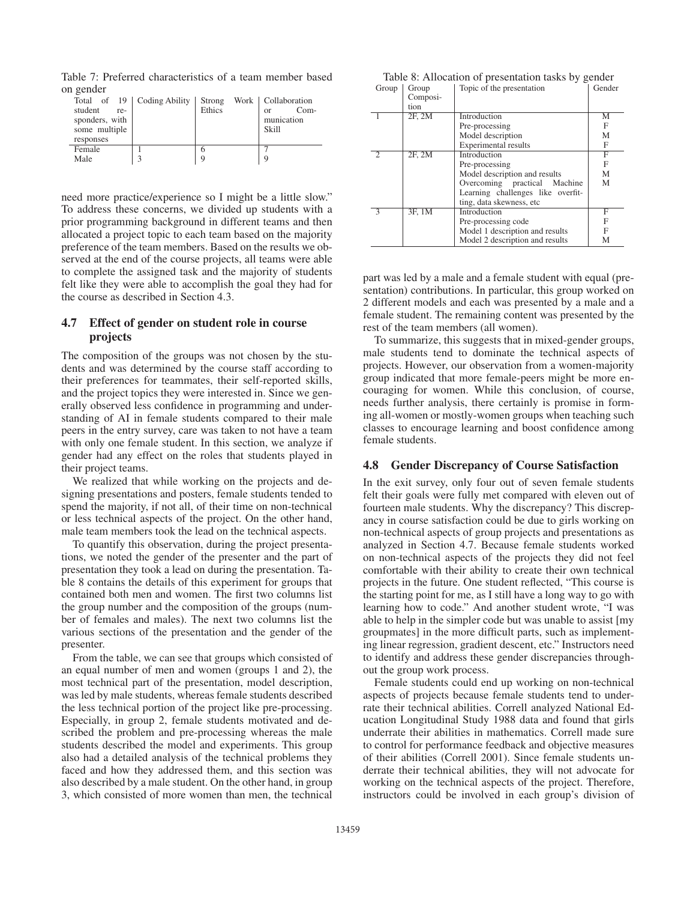Table 7: Preferred characteristics of a team member based on gender

| student<br>re-<br>sponders, with<br>some multiple<br>responses | Total of 19   Coding Ability | Strong<br>Ethics | Work   Collaboration<br>$Com-$<br>$\alpha$<br>munication<br>Skill |
|----------------------------------------------------------------|------------------------------|------------------|-------------------------------------------------------------------|
| Female                                                         |                              | 6                |                                                                   |
| Male                                                           | 3                            | 9                | 9                                                                 |
|                                                                |                              |                  |                                                                   |

need more practice/experience so I might be a little slow." To address these concerns, we divided up students with a prior programming background in different teams and then allocated a project topic to each team based on the majority preference of the team members. Based on the results we observed at the end of the course projects, all teams were able to complete the assigned task and the majority of students felt like they were able to accomplish the goal they had for the course as described in Section 4.3.

### 4.7 Effect of gender on student role in course projects

The composition of the groups was not chosen by the students and was determined by the course staff according to their preferences for teammates, their self-reported skills, and the project topics they were interested in. Since we generally observed less confidence in programming and understanding of AI in female students compared to their male peers in the entry survey, care was taken to not have a team with only one female student. In this section, we analyze if gender had any effect on the roles that students played in their project teams.

We realized that while working on the projects and designing presentations and posters, female students tended to spend the majority, if not all, of their time on non-technical or less technical aspects of the project. On the other hand, male team members took the lead on the technical aspects.

To quantify this observation, during the project presentations, we noted the gender of the presenter and the part of presentation they took a lead on during the presentation. Table 8 contains the details of this experiment for groups that contained both men and women. The first two columns list the group number and the composition of the groups (number of females and males). The next two columns list the various sections of the presentation and the gender of the presenter.

From the table, we can see that groups which consisted of an equal number of men and women (groups 1 and 2), the most technical part of the presentation, model description, was led by male students, whereas female students described the less technical portion of the project like pre-processing. Especially, in group 2, female students motivated and described the problem and pre-processing whereas the male students described the model and experiments. This group also had a detailed analysis of the technical problems they faced and how they addressed them, and this section was also described by a male student. On the other hand, in group 3, which consisted of more women than men, the technical

|                 | Table 8: Allocation of presentation tasks by gender |        |
|-----------------|-----------------------------------------------------|--------|
| $Group$ $Group$ | Topic of the presentation                           | Gender |

| Composi- |                                   |   |
|----------|-----------------------------------|---|
| tion     |                                   |   |
| 2F, 2M   | Introduction                      | М |
|          | Pre-processing                    | F |
|          | Model description                 | М |
|          | <b>Experimental results</b>       | F |
| 2F, 2M   | Introduction                      | F |
|          | Pre-processing                    | F |
|          | Model description and results     | M |
|          | Overcoming practical Machine      | M |
|          | Learning challenges like overfit- |   |
|          | ting, data skewness, etc.         |   |
| 3F, 1M   | Introduction                      | F |
|          | Pre-processing code               | F |
|          | Model 1 description and results   | F |
|          | Model 2 description and results   | М |
|          |                                   |   |

part was led by a male and a female student with equal (presentation) contributions. In particular, this group worked on 2 different models and each was presented by a male and a female student. The remaining content was presented by the rest of the team members (all women).

To summarize, this suggests that in mixed-gender groups, male students tend to dominate the technical aspects of projects. However, our observation from a women-majority group indicated that more female-peers might be more encouraging for women. While this conclusion, of course, needs further analysis, there certainly is promise in forming all-women or mostly-women groups when teaching such classes to encourage learning and boost confidence among female students.

#### 4.8 Gender Discrepancy of Course Satisfaction

In the exit survey, only four out of seven female students felt their goals were fully met compared with eleven out of fourteen male students. Why the discrepancy? This discrepancy in course satisfaction could be due to girls working on non-technical aspects of group projects and presentations as analyzed in Section 4.7. Because female students worked on non-technical aspects of the projects they did not feel comfortable with their ability to create their own technical projects in the future. One student reflected, "This course is the starting point for me, as I still have a long way to go with learning how to code." And another student wrote, "I was able to help in the simpler code but was unable to assist [my groupmates] in the more difficult parts, such as implementing linear regression, gradient descent, etc." Instructors need to identify and address these gender discrepancies throughout the group work process.

Female students could end up working on non-technical aspects of projects because female students tend to underrate their technical abilities. Correll analyzed National Education Longitudinal Study 1988 data and found that girls underrate their abilities in mathematics. Correll made sure to control for performance feedback and objective measures of their abilities (Correll 2001). Since female students underrate their technical abilities, they will not advocate for working on the technical aspects of the project. Therefore, instructors could be involved in each group's division of